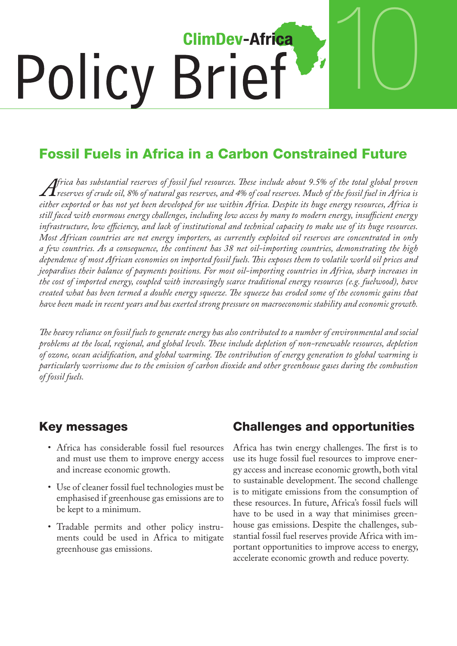

## Fossil Fuels in Africa in a Carbon Constrained Future

*Africa has substantial reserves of fossil fuel resources. These include about 9.5% of the total global proven reserves of crude oil, 8% of natural gas reserves, and 4% of coal reserves. Much of the fossil fuel in Africa is either exported or has not yet been developed for use within Africa. Despite its huge energy resources, Africa is still faced with enormous energy challenges, including low access by many to modern energy, insufficient energy infrastructure, low efficiency, and lack of institutional and technical capacity to make use of its huge resources. Most African countries are net energy importers, as currently exploited oil reserves are concentrated in only a few countries. As a consequence, the continent has 38 net oil-importing countries, demonstrating the high dependence of most African economies on imported fossil fuels. This exposes them to volatile world oil prices and jeopardises their balance of payments positions. For most oil-importing countries in Africa, sharp increases in the cost of imported energy, coupled with increasingly scarce traditional energy resources (e.g. fuelwood), have created what has been termed a double energy squeeze. The squeeze has eroded some of the economic gains that have been made in recent years and has exerted strong pressure on macroeconomic stability and economic growth.*

*The heavy reliance on fossil fuels to generate energy has also contributed to a number of environmental and social problems at the local, regional, and global levels. These include depletion of non-renewable resources, depletion of ozone, ocean acidification, and global warming. The contribution of energy generation to global warming is particularly worrisome due to the emission of carbon dioxide and other greenhouse gases during the combustion of fossil fuels.*

#### Key messages

- Africa has considerable fossil fuel resources and must use them to improve energy access and increase economic growth.
- • Use of cleaner fossil fuel technologies must be emphasised if greenhouse gas emissions are to be kept to a minimum.
- • Tradable permits and other policy instruments could be used in Africa to mitigate greenhouse gas emissions.

### Challenges and opportunities

Africa has twin energy challenges. The first is to use its huge fossil fuel resources to improve energy access and increase economic growth, both vital to sustainable development. The second challenge is to mitigate emissions from the consumption of these resources. In future, Africa's fossil fuels will have to be used in a way that minimises greenhouse gas emissions. Despite the challenges, substantial fossil fuel reserves provide Africa with important opportunities to improve access to energy, accelerate economic growth and reduce poverty.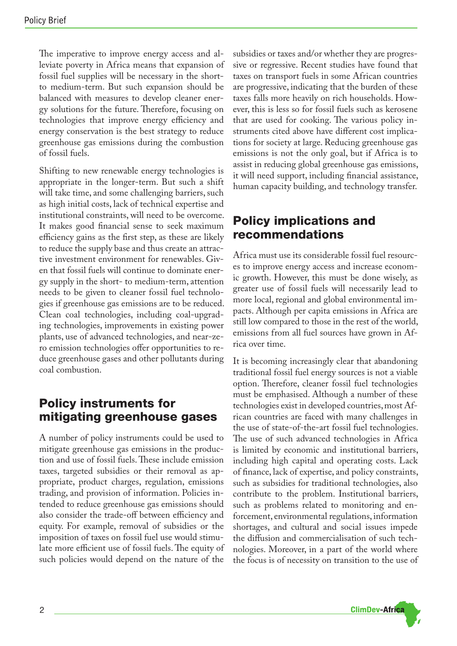The imperative to improve energy access and alleviate poverty in Africa means that expansion of fossil fuel supplies will be necessary in the shortto medium-term. But such expansion should be balanced with measures to develop cleaner energy solutions for the future. Therefore, focusing on technologies that improve energy efficiency and energy conservation is the best strategy to reduce greenhouse gas emissions during the combustion of fossil fuels.

Shifting to new renewable energy technologies is appropriate in the longer-term. But such a shift will take time, and some challenging barriers, such as high initial costs, lack of technical expertise and institutional constraints, will need to be overcome. It makes good financial sense to seek maximum efficiency gains as the first step, as these are likely to reduce the supply base and thus create an attractive investment environment for renewables. Given that fossil fuels will continue to dominate energy supply in the short- to medium-term, attention needs to be given to cleaner fossil fuel technologies if greenhouse gas emissions are to be reduced. Clean coal technologies, including coal-upgrading technologies, improvements in existing power plants, use of advanced technologies, and near-zero emission technologies offer opportunities to reduce greenhouse gases and other pollutants during coal combustion.

#### Policy instruments for mitigating greenhouse gases

A number of policy instruments could be used to mitigate greenhouse gas emissions in the production and use of fossil fuels.These include emission taxes, targeted subsidies or their removal as appropriate, product charges, regulation, emissions trading, and provision of information. Policies intended to reduce greenhouse gas emissions should also consider the trade-off between efficiency and equity. For example, removal of subsidies or the imposition of taxes on fossil fuel use would stimulate more efficient use of fossil fuels.The equity of such policies would depend on the nature of the

subsidies or taxes and/or whether they are progressive or regressive. Recent studies have found that taxes on transport fuels in some African countries are progressive, indicating that the burden of these taxes falls more heavily on rich households. However, this is less so for fossil fuels such as kerosene that are used for cooking. The various policy instruments cited above have different cost implications for society at large. Reducing greenhouse gas emissions is not the only goal, but if Africa is to assist in reducing global greenhouse gas emissions, it will need support, including financial assistance, human capacity building, and technology transfer.

#### Policy implications and recommendations

Africa must use its considerable fossil fuel resources to improve energy access and increase economic growth. However, this must be done wisely, as greater use of fossil fuels will necessarily lead to more local, regional and global environmental impacts. Although per capita emissions in Africa are still low compared to those in the rest of the world, emissions from all fuel sources have grown in Africa over time.

It is becoming increasingly clear that abandoning traditional fossil fuel energy sources is not a viable option. Therefore, cleaner fossil fuel technologies must be emphasised. Although a number of these technologies exist in developed countries, most African countries are faced with many challenges in the use of state-of-the-art fossil fuel technologies. The use of such advanced technologies in Africa is limited by economic and institutional barriers, including high capital and operating costs. Lack of finance, lack of expertise, and policy constraints, such as subsidies for traditional technologies, also contribute to the problem. Institutional barriers, such as problems related to monitoring and enforcement, environmental regulations, information shortages, and cultural and social issues impede the diffusion and commercialisation of such technologies. Moreover, in a part of the world where the focus is of necessity on transition to the use of